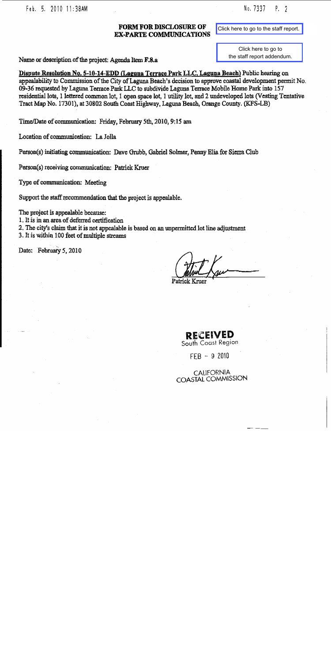Feb. 5. 2010 11:38AM

No. 7337  $P. 2$ 

#### **FORM FOR DISCLOSURE OF EX-PARTE COMMUNICATIONS**

Click here to go to the staff report.

Click here to go to the staff report addendum.

Dispute Resolution No. 5-10-14-EDD (Laguna Terrace Park LLC, Laguna Beach) Public hearing on appealability to Commission of the City of Laguna Beach's decision to approve coastal development permit No. 09-36 requested by Laguna Terrace Park LLC to subdivide Laguna Terrace Mobile Home Park into 157 residential lots, 1 lettered common lot, 1 open space lot, 1 utility lot, and 2 undeveloped lots (Vesting Tentative Tract Map No. 17301), at 30802 South Coast Highway, Laguna Beach, Orange County. (KFS-LB)

Time/Date of communication: Friday, February 5th, 2010, 9:15 am

Location of communication: La Jolla

Person(s) initiating communication: Dave Grubb, Gabriel Solmer, Penny Elia for Sierra Club

Person(s) receiving communication: Patrick Kruer

Name or description of the project; Agenda Item F.8.a

Type of communication: Meeting

Support the staff recommendation that the project is appealable.

The project is appealable because:

1. It is in an area of deferred certification

2. The city's claim that it is not appealable is based on an unpermitted lot line adjustment

3. It is within 100 feet of multiple streams

Date: February 5, 2010

**RECEIVED** South Coast Region

 $FFB - 92010$ 

**CALIFORNIA** COASTAL COMMISSION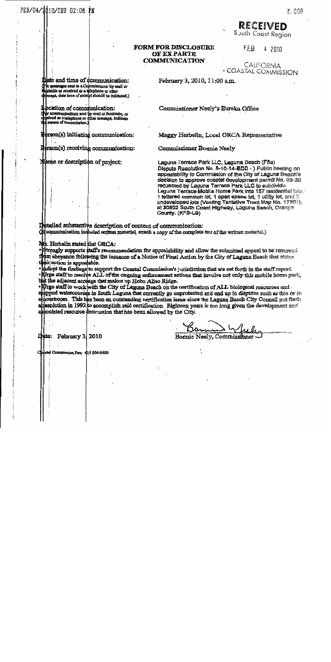# FEB/04/2010/THU 02:06 PM

### RECEIVED South Coast Region

#### **FORM FOR DISCLOSURE OF EX PARTE COMMUNICATION**

F.EB 4 2010

**CALIFORNIA** · COASTAL COMMISSION

Date and time of communication:<br>The messages sent to a Commissioner by mail or<br>masimile or received as a telephone or other<br>massage, date time of receipt should be indicated.)

**bcation of communication:** recommunications sent by mail or factimile, or<br>received as a telephone or dther message, indicate el means of transmission.)

erson(s) initiating communication:

Herson(s) receiving communication:

Name or description of project:

February 3, 2010, 11:00 a.m.

Commissioner Neely's Eureka Office

Maggy Herbelin, Local ORCA Representative

Commissioner Bonnie Neely

Laguna Terrace Park LLC, Laguna Beach (F8a) Dispute Resolution No. 5-10-14-EDD - ) Public hearing on appealability to Commission of the City of Laguna Beach's decision to approve coastal development permit No. 09-36 requested by Laguna Terrace Park LLC to subdivide Leguna Terrace Mobile Home Park into 157 residential lots. 1 lettered common lot, 1 open space lot, 1 utility lot, and 2. undeveloped lots (Vesting Tentative Tract Map No. 17301). at 30802 South Coast Highway, Laguna Beach, Orange County. (KFS-LB)

Detailed substantive description of content of communication: (it communication included written material, arrach a copy of the complete test of the written material.)

Ms. Herbelin stated that ORCA:

. Strongly supports staff's recommendation for appealability and allow the submitted appeal to be removed from abeyance following the issuance of a Notice of Final Action by the City of Laguna Beach that states *eu* action is appealable.

Adopt the findings to support the Coastal Commission's jurisdiction that are set forth in the staff report. The staff to resolve ALL of the ongoing enforcement actions that involve not only this mobile home park, but the adjacent acreage that makes up Hobo Aliso Ridge.

 $\bullet$  Wrge staff to work with the City of Laguna Beach on the certification of ALL biological resources and  $\mathbf{n}_i$ pped watercourses in South Laguna that currently go unprotected and end up in disputes such as this or in algointroom. This has been an outstanding certification issue since the Laguna Beach City Council put forth resplution in 1992 to accomplish said certification. Eighteen years is too long given the development and £. ablociated resource destruction that has been allowed by the City.

Bonnie Neely, Commissioner

Liste: February 3, 2010

Commission Fax: 415 904-5400

P. 008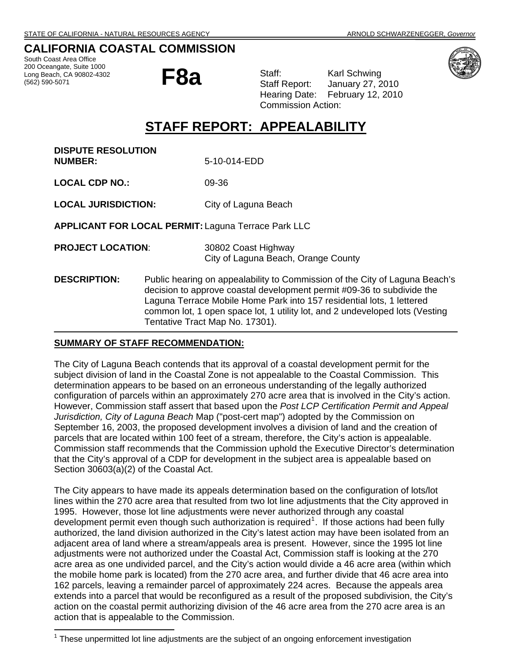### <span id="page-2-0"></span>**CALIFORNIA COASTAL COMMISSION**

South Coast Area Office 200 Oceangate, Suite 1000 Long Beach, CA 90802-4302<br>(562) 590-5071

i,

l

200 Oceangate, Suite 1000<br>Long Beach, CA 90802-4302<br>(562) 590-5071 **F8a Club Staff Report:** January 27, 2 Staff Report: January 27, 2010 Hearing Date: February 12, 2010 Commission Action:

# **STAFF REPORT: APPEALABILITY**

**DISPUTE RESOLUTION NUMBER:** 5-10-014-EDD

**LOCAL CDP NO.:** 09-36

**LOCAL JURISDICTION:** City of Laguna Beach

**APPLICANT FOR LOCAL PERMIT:** Laguna Terrace Park LLC

**PROJECT LOCATION**: 30802 Coast Highway City of Laguna Beach, Orange County

**DESCRIPTION:** Public hearing on appealability to Commission of the City of Laguna Beach's decision to approve coastal development permit #09-36 to subdivide the Laguna Terrace Mobile Home Park into 157 residential lots, 1 lettered common lot, 1 open space lot, 1 utility lot, and 2 undeveloped lots (Vesting Tentative Tract Map No. 17301).

#### **SUMMARY OF STAFF RECOMMENDATION:**

The City of Laguna Beach contends that its approval of a coastal development permit for the subject division of land in the Coastal Zone is not appealable to the Coastal Commission. This determination appears to be based on an erroneous understanding of the legally authorized configuration of parcels within an approximately 270 acre area that is involved in the City's action. However, Commission staff assert that based upon the *Post LCP Certification Permit and Appeal Jurisdiction, City of Laguna Beach* Map ("post-cert map") adopted by the Commission on September 16, 2003, the proposed development involves a division of land and the creation of parcels that are located within 100 feet of a stream, therefore, the City's action is appealable. Commission staff recommends that the Commission uphold the Executive Director's determination that the City's approval of a CDP for development in the subject area is appealable based on Section 30603(a)(2) of the Coastal Act.

The City appears to have made its appeals determination based on the configuration of lots/lot lines within the 270 acre area that resulted from two lot line adjustments that the City approved in 1995. However, those lot line adjustments were never authorized through any coastal development permit even though such authorization is required<sup>[1](#page-2-1)</sup>. If those actions had been fully authorized, the land division authorized in the City's latest action may have been isolated from an adjacent area of land where a stream/appeals area is present. However, since the 1995 lot line adjustments were not authorized under the Coastal Act, Commission staff is looking at the 270 acre area as one undivided parcel, and the City's action would divide a 46 acre area (within which the mobile home park is located) from the 270 acre area, and further divide that 46 acre area into 162 parcels, leaving a remainder parcel of approximately 224 acres. Because the appeals area extends into a parcel that would be reconfigured as a result of the proposed subdivision, the City's action on the coastal permit authorizing division of the 46 acre area from the 270 acre area is an action that is appealable to the Commission.



<span id="page-2-1"></span><sup>&</sup>lt;sup>1</sup> These unpermitted lot line adjustments are the subject of an ongoing enforcement investigation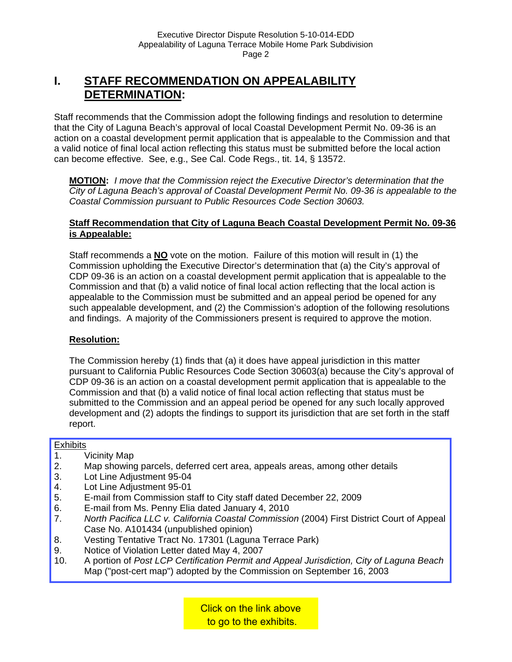# **I. STAFF RECOMMENDATION ON APPEALABILITY DETERMINATION:**

Staff recommends that the Commission adopt the following findings and resolution to determine that the City of Laguna Beach's approval of local Coastal Development Permit No. 09-36 is an action on a coastal development permit application that is appealable to the Commission and that a valid notice of final local action reflecting this status must be submitted before the local action can become effective. See, e.g., See Cal. Code Regs., tit. 14, § 13572.

**MOTION:** *I move that the Commission reject the Executive Director's determination that the City of Laguna Beach's approval of Coastal Development Permit No. 09-36 is appealable to the Coastal Commission pursuant to Public Resources Code Section 30603.* 

#### **Staff Recommendation that City of Laguna Beach Coastal Development Permit No. 09-36 is Appealable:**

 Staff recommends a **NO** vote on the motion. Failure of this motion will result in (1) the Commission upholding the Executive Director's determination that (a) the City's approval of CDP 09-36 is an action on a coastal development permit application that is appealable to the Commission and that (b) a valid notice of final local action reflecting that the local action is appealable to the Commission must be submitted and an appeal period be opened for any such appealable development, and (2) the Commission's adoption of the following resolutions and findings. A majority of the Commissioners present is required to approve the motion.

### **Resolution:**

 The Commission hereby (1) finds that (a) it does have appeal jurisdiction in this matter pursuant to California Public Resources Code Section 30603(a) because the City's approval of CDP 09-36 is an action on a coastal development permit application that is appealable to the Commission and that (b) a valid notice of final local action reflecting that status must be submitted to the Commission and an appeal period be opened for any such locally approved development and (2) adopts the findings to support its jurisdiction that are set forth in the staff report.

#### **Exhibits**

- 1. Vicinity Map
- [2. Map showing parcels, deferred cert area, appeals areas, among other details](http://documents.coastal.ca.gov/reports/2010/2/F8a-2-2010-a1.pdf)
- 3. Lot Line Adjustment 95-04
- 4. Lot Line Adjustment 95-01
- 5. E-mail from Commission staff to City staff dated December 22, 2009
- 6. E-mail from Ms. Penny Elia dated January 4, 2010
- 7. *North Pacifica LLC v. California Coastal Commission* (2004) First District Court of Appeal Case No. A101434 (unpublished opinion)
- 8. Vesting Tentative Tract No. 17301 (Laguna Terrace Park)
- 9. Notice of Violation Letter dated May 4, 2007
- 10. A portion of *Post LCP Certification Permit and Appeal Jurisdiction, City of Laguna Beach*  Map ("post-cert map") adopted by the Commission on September 16, 2003

Click on the link above to go to the exhibits.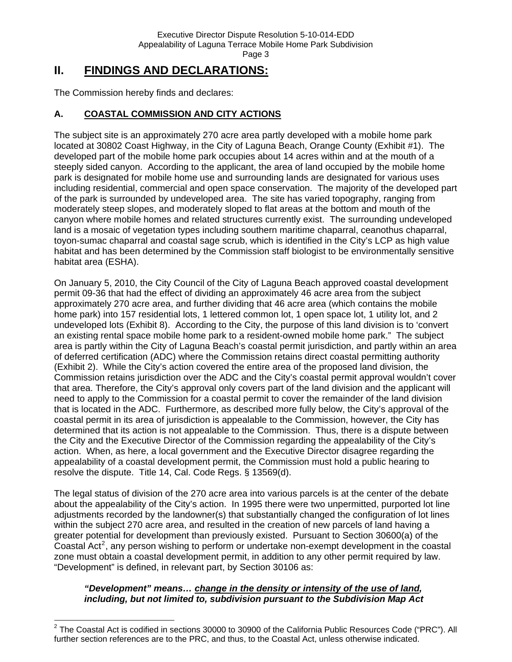# **II. FINDINGS AND DECLARATIONS:**

The Commission hereby finds and declares:

### **A. COASTAL COMMISSION AND CITY ACTIONS**

The subject site is an approximately 270 acre area partly developed with a mobile home park located at 30802 Coast Highway, in the City of Laguna Beach, Orange County (Exhibit #1). The developed part of the mobile home park occupies about 14 acres within and at the mouth of a steeply sided canyon. According to the applicant, the area of land occupied by the mobile home park is designated for mobile home use and surrounding lands are designated for various uses including residential, commercial and open space conservation. The majority of the developed part of the park is surrounded by undeveloped area. The site has varied topography, ranging from moderately steep slopes, and moderately sloped to flat areas at the bottom and mouth of the canyon where mobile homes and related structures currently exist. The surrounding undeveloped land is a mosaic of vegetation types including southern maritime chaparral, ceanothus chaparral, toyon-sumac chaparral and coastal sage scrub, which is identified in the City's LCP as high value habitat and has been determined by the Commission staff biologist to be environmentally sensitive habitat area (ESHA).

On January 5, 2010, the City Council of the City of Laguna Beach approved coastal development permit 09-36 that had the effect of dividing an approximately 46 acre area from the subject approximately 270 acre area, and further dividing that 46 acre area (which contains the mobile home park) into 157 residential lots, 1 lettered common lot, 1 open space lot, 1 utility lot, and 2 undeveloped lots (Exhibit 8). According to the City, the purpose of this land division is to 'convert an existing rental space mobile home park to a resident-owned mobile home park." The subject area is partly within the City of Laguna Beach's coastal permit jurisdiction, and partly within an area of deferred certification (ADC) where the Commission retains direct coastal permitting authority (Exhibit 2). While the City's action covered the entire area of the proposed land division, the Commission retains jurisdiction over the ADC and the City's coastal permit approval wouldn't cover that area. Therefore, the City's approval only covers part of the land division and the applicant will need to apply to the Commission for a coastal permit to cover the remainder of the land division that is located in the ADC. Furthermore, as described more fully below, the City's approval of the coastal permit in its area of jurisdiction is appealable to the Commission, however, the City has determined that its action is not appealable to the Commission. Thus, there is a dispute between the City and the Executive Director of the Commission regarding the appealability of the City's action. When, as here, a local government and the Executive Director disagree regarding the appealability of a coastal development permit, the Commission must hold a public hearing to resolve the dispute. Title 14, Cal. Code Regs. § 13569(d).

The legal status of division of the 270 acre area into various parcels is at the center of the debate about the appealability of the City's action. In 1995 there were two unpermitted, purported lot line adjustments recorded by the landowner(s) that substantially changed the configuration of lot lines within the subject 270 acre area, and resulted in the creation of new parcels of land having a greater potential for development than previously existed. Pursuant to Section 30600(a) of the Coastal Act<sup>[2](#page-4-0)</sup>, any person wishing to perform or undertake non-exempt development in the coastal zone must obtain a coastal development permit, in addition to any other permit required by law. "Development" is defined, in relevant part, by Section 30106 as:

#### *"Development" means… change in the density or intensity of the use of land, including, but not limited to, subdivision pursuant to the Subdivision Map Act*

<span id="page-4-0"></span>l  $^2$  The Coastal Act is codified in sections 30000 to 30900 of the California Public Resources Code ("PRC"). All further section references are to the PRC, and thus, to the Coastal Act, unless otherwise indicated.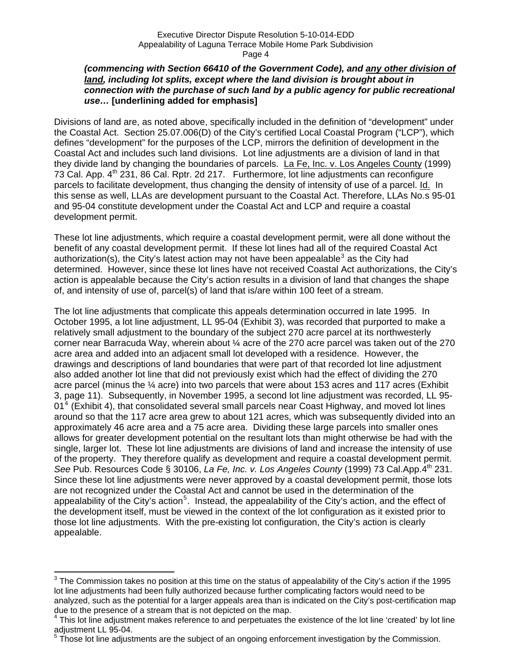#### *(commencing with Section 66410 of the Government Code), and any other division of land, including lot splits, except where the land division is brought about in connection with the purchase of such land by a public agency for public recreational use…* **[underlining added for emphasis]**

Divisions of land are, as noted above, specifically included in the definition of "development" under the Coastal Act. Section 25.07.006(D) of the City's certified Local Coastal Program ("LCP"), which defines "development" for the purposes of the LCP, mirrors the definition of development in the Coastal Act and includes such land divisions. Lot line adjustments are a division of land in that they divide land by changing the boundaries of parcels. La Fe, Inc. v. Los Angeles County (1999) 73 Cal. App.  $4<sup>th</sup>$  231, 86 Cal. Rptr. 2d 217. Furthermore, lot line adjustments can reconfigure parcels to facilitate development, thus changing the density of intensity of use of a parcel. Id. In this sense as well, LLAs are development pursuant to the Coastal Act. Therefore, LLAs No.s 95-01 and 95-04 constitute development under the Coastal Act and LCP and require a coastal development permit.

These lot line adjustments, which require a coastal development permit, were all done without the benefit of any coastal development permit. If these lot lines had all of the required Coastal Act authorization(s), the City's latest action may not have been appealable<sup>[3](#page-5-0)</sup> as the City had determined. However, since these lot lines have not received Coastal Act authorizations, the City's action is appealable because the City's action results in a division of land that changes the shape of, and intensity of use of, parcel(s) of land that is/are within 100 feet of a stream.

The lot line adjustments that complicate this appeals determination occurred in late 1995. In October 1995, a lot line adjustment, LL 95-04 (Exhibit 3), was recorded that purported to make a relatively small adjustment to the boundary of the subject 270 acre parcel at its northwesterly corner near Barracuda Way, wherein about  $\frac{1}{4}$  acre of the 270 acre parcel was taken out of the 270 acre area and added into an adjacent small lot developed with a residence. However, the drawings and descriptions of land boundaries that were part of that recorded lot line adjustment also added another lot line that did not previously exist which had the effect of dividing the 270 acre parcel (minus the ¼ acre) into two parcels that were about 153 acres and 117 acres (Exhibit 3, page 11). Subsequently, in November 1995, a second lot line adjustment was recorded, LL 95- 01<sup>[4](#page-5-1)</sup> (Exhibit 4), that consolidated several small parcels near Coast Highway, and moved lot lines around so that the 117 acre area grew to about 121 acres, which was subsequently divided into an approximately 46 acre area and a 75 acre area. Dividing these large parcels into smaller ones allows for greater development potential on the resultant lots than might otherwise be had with the single, larger lot. These lot line adjustments are divisions of land and increase the intensity of use of the property. They therefore qualify as development and require a coastal development permit. *See* Pub. Resources Code § 30106, *La Fe, Inc. v. Los Angeles County* (1999) 73 Cal.App.4th 231. Since these lot line adjustments were never approved by a coastal development permit, those lots are not recognized under the Coastal Act and cannot be used in the determination of the appealability of the City's action<sup>[5](#page-5-2)</sup>. Instead, the appealability of the City's action, and the effect of the development itself, must be viewed in the context of the lot configuration as it existed prior to those lot line adjustments. With the pre-existing lot configuration, the City's action is clearly appealable.

<span id="page-5-0"></span> 3 The Commission takes no position at this time on the status of appealability of the City's action if the 1995 lot line adjustments had been fully authorized because further complicating factors would need to be analyzed, such as the potential for a larger appeals area than is indicated on the City's post-certification map due to the presence of a stream that is not depicted on the map. 4

<span id="page-5-1"></span> $4$  This lot line adjustment makes reference to and perpetuates the existence of the lot line 'created' by lot line adjustment LL 95-04.

<span id="page-5-2"></span> $5$  Those lot line adjustments are the subject of an ongoing enforcement investigation by the Commission.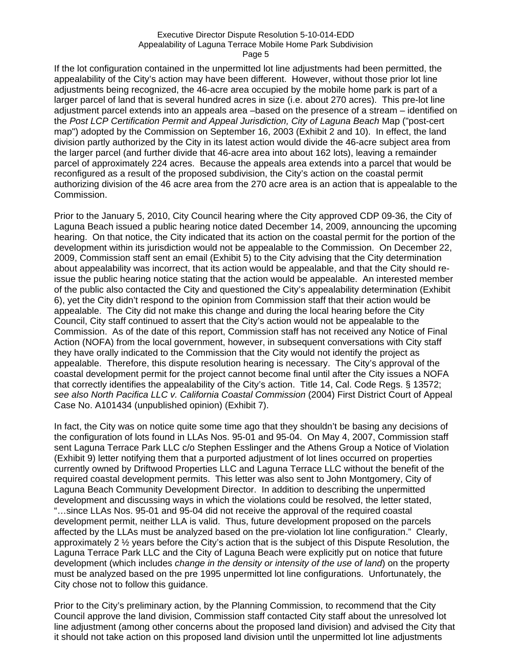#### Executive Director Dispute Resolution 5-10-014-EDD Appealability of Laguna Terrace Mobile Home Park Subdivision Page 5

If the lot configuration contained in the unpermitted lot line adjustments had been permitted, the appealability of the City's action may have been different. However, without those prior lot line adjustments being recognized, the 46-acre area occupied by the mobile home park is part of a larger parcel of land that is several hundred acres in size (i.e. about 270 acres). This pre-lot line adjustment parcel extends into an appeals area –based on the presence of a stream – identified on the *Post LCP Certification Permit and Appeal Jurisdiction, City of Laguna Beach* Map ("post-cert map") adopted by the Commission on September 16, 2003 (Exhibit 2 and 10). In effect, the land division partly authorized by the City in its latest action would divide the 46-acre subject area from the larger parcel (and further divide that 46-acre area into about 162 lots), leaving a remainder parcel of approximately 224 acres. Because the appeals area extends into a parcel that would be reconfigured as a result of the proposed subdivision, the City's action on the coastal permit authorizing division of the 46 acre area from the 270 acre area is an action that is appealable to the Commission.

Prior to the January 5, 2010, City Council hearing where the City approved CDP 09-36, the City of Laguna Beach issued a public hearing notice dated December 14, 2009, announcing the upcoming hearing. On that notice, the City indicated that its action on the coastal permit for the portion of the development within its jurisdiction would not be appealable to the Commission. On December 22, 2009, Commission staff sent an email (Exhibit 5) to the City advising that the City determination about appealability was incorrect, that its action would be appealable, and that the City should reissue the public hearing notice stating that the action would be appealable. An interested member of the public also contacted the City and questioned the City's appealability determination (Exhibit 6), yet the City didn't respond to the opinion from Commission staff that their action would be appealable. The City did not make this change and during the local hearing before the City Council, City staff continued to assert that the City's action would not be appealable to the Commission. As of the date of this report, Commission staff has not received any Notice of Final Action (NOFA) from the local government, however, in subsequent conversations with City staff they have orally indicated to the Commission that the City would not identify the project as appealable. Therefore, this dispute resolution hearing is necessary. The City's approval of the coastal development permit for the project cannot become final until after the City issues a NOFA that correctly identifies the appealability of the City's action. Title 14, Cal. Code Regs. § 13572; *see also North Pacifica LLC v. California Coastal Commission* (2004) First District Court of Appeal Case No. A101434 (unpublished opinion) (Exhibit 7).

In fact, the City was on notice quite some time ago that they shouldn't be basing any decisions of the configuration of lots found in LLAs Nos. 95-01 and 95-04. On May 4, 2007, Commission staff sent Laguna Terrace Park LLC c/o Stephen Esslinger and the Athens Group a Notice of Violation (Exhibit 9) letter notifying them that a purported adjustment of lot lines occurred on properties currently owned by Driftwood Properties LLC and Laguna Terrace LLC without the benefit of the required coastal development permits. This letter was also sent to John Montgomery, City of Laguna Beach Community Development Director. In addition to describing the unpermitted development and discussing ways in which the violations could be resolved, the letter stated, "…since LLAs Nos. 95-01 and 95-04 did not receive the approval of the required coastal development permit, neither LLA is valid. Thus, future development proposed on the parcels affected by the LLAs must be analyzed based on the pre-violation lot line configuration." Clearly, approximately 2 ½ years before the City's action that is the subject of this Dispute Resolution, the Laguna Terrace Park LLC and the City of Laguna Beach were explicitly put on notice that future development (which includes *change in the density or intensity of the use of land*) on the property must be analyzed based on the pre 1995 unpermitted lot line configurations. Unfortunately, the City chose not to follow this guidance.

Prior to the City's preliminary action, by the Planning Commission, to recommend that the City Council approve the land division, Commission staff contacted City staff about the unresolved lot line adjustment (among other concerns about the proposed land division) and advised the City that it should not take action on this proposed land division until the unpermitted lot line adjustments